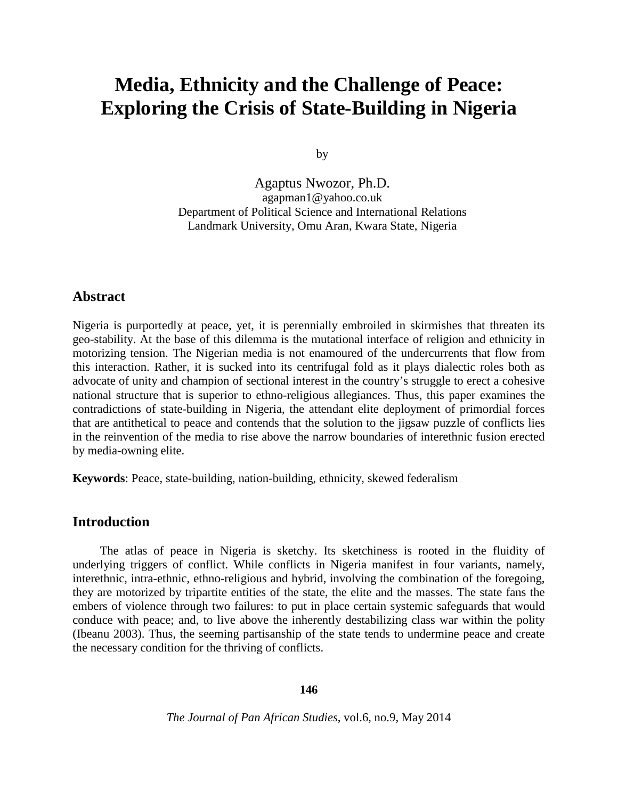# **Media, Ethnicity and the Challenge of Peace: Exploring the Crisis of State-Building in Nigeria**

by

Agaptus Nwozor, Ph.D. [agapman1@yahoo.co.uk](mailto:agapman1@yahoo.co.uk) Department of Political Science and International Relations Landmark University, Omu Aran, Kwara State, Nigeria

## **Abstract**

Nigeria is purportedly at peace, yet, it is perennially embroiled in skirmishes that threaten its geo-stability. At the base of this dilemma is the mutational interface of religion and ethnicity in motorizing tension. The Nigerian media is not enamoured of the undercurrents that flow from this interaction. Rather, it is sucked into its centrifugal fold as it plays dialectic roles both as advocate of unity and champion of sectional interest in the country's struggle to erect a cohesive national structure that is superior to ethno-religious allegiances. Thus, this paper examines the contradictions of state-building in Nigeria, the attendant elite deployment of primordial forces that are antithetical to peace and contends that the solution to the jigsaw puzzle of conflicts lies in the reinvention of the media to rise above the narrow boundaries of interethnic fusion erected by media-owning elite.

**Keywords**: Peace, state-building, nation-building, ethnicity, skewed federalism

## **Introduction**

The atlas of peace in Nigeria is sketchy. Its sketchiness is rooted in the fluidity of underlying triggers of conflict. While conflicts in Nigeria manifest in four variants, namely, interethnic, intra-ethnic, ethno-religious and hybrid, involving the combination of the foregoing, they are motorized by tripartite entities of the state, the elite and the masses. The state fans the embers of violence through two failures: to put in place certain systemic safeguards that would conduce with peace; and, to live above the inherently destabilizing class war within the polity (Ibeanu 2003). Thus, the seeming partisanship of the state tends to undermine peace and create the necessary condition for the thriving of conflicts.

#### **146**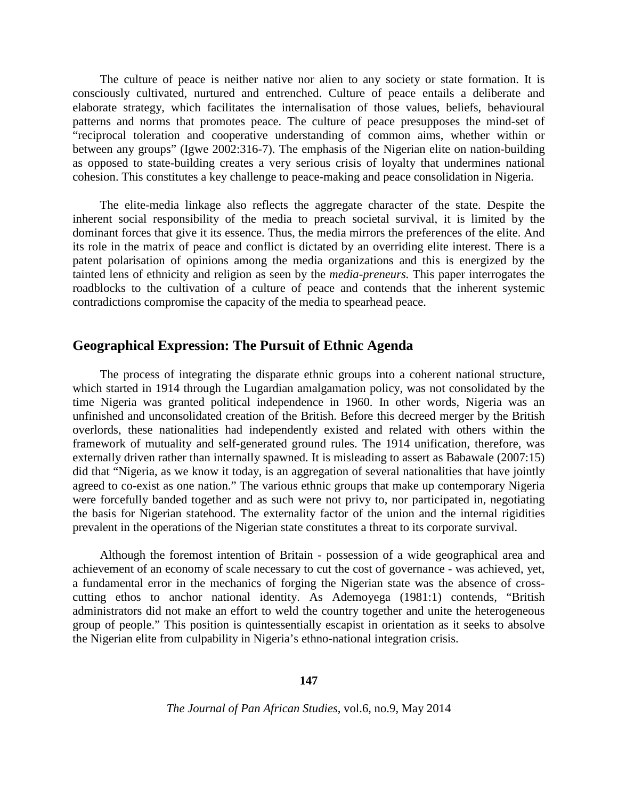The culture of peace is neither native nor alien to any society or state formation. It is consciously cultivated, nurtured and entrenched. Culture of peace entails a deliberate and elaborate strategy, which facilitates the internalisation of those values, beliefs, behavioural patterns and norms that promotes peace. The culture of peace presupposes the mind-set of "reciprocal toleration and cooperative understanding of common aims, whether within or between any groups" (Igwe 2002:316-7). The emphasis of the Nigerian elite on nation-building as opposed to state-building creates a very serious crisis of loyalty that undermines national cohesion. This constitutes a key challenge to peace-making and peace consolidation in Nigeria.

The elite-media linkage also reflects the aggregate character of the state. Despite the inherent social responsibility of the media to preach societal survival, it is limited by the dominant forces that give it its essence. Thus, the media mirrors the preferences of the elite. And its role in the matrix of peace and conflict is dictated by an overriding elite interest. There is a patent polarisation of opinions among the media organizations and this is energized by the tainted lens of ethnicity and religion as seen by the *media-preneurs.* This paper interrogates the roadblocks to the cultivation of a culture of peace and contends that the inherent systemic contradictions compromise the capacity of the media to spearhead peace.

## **Geographical Expression: The Pursuit of Ethnic Agenda**

The process of integrating the disparate ethnic groups into a coherent national structure, which started in 1914 through the Lugardian amalgamation policy, was not consolidated by the time Nigeria was granted political independence in 1960. In other words, Nigeria was an unfinished and unconsolidated creation of the British. Before this decreed merger by the British overlords, these nationalities had independently existed and related with others within the framework of mutuality and self-generated ground rules. The 1914 unification, therefore, was externally driven rather than internally spawned. It is misleading to assert as Babawale (2007:15) did that "Nigeria, as we know it today, is an aggregation of several nationalities that have jointly agreed to co-exist as one nation." The various ethnic groups that make up contemporary Nigeria were forcefully banded together and as such were not privy to, nor participated in, negotiating the basis for Nigerian statehood. The externality factor of the union and the internal rigidities prevalent in the operations of the Nigerian state constitutes a threat to its corporate survival.

Although the foremost intention of Britain - possession of a wide geographical area and achievement of an economy of scale necessary to cut the cost of governance - was achieved, yet, a fundamental error in the mechanics of forging the Nigerian state was the absence of crosscutting ethos to anchor national identity. As Ademoyega (1981:1) contends, "British administrators did not make an effort to weld the country together and unite the heterogeneous group of people." This position is quintessentially escapist in orientation as it seeks to absolve the Nigerian elite from culpability in Nigeria's ethno-national integration crisis.

**147**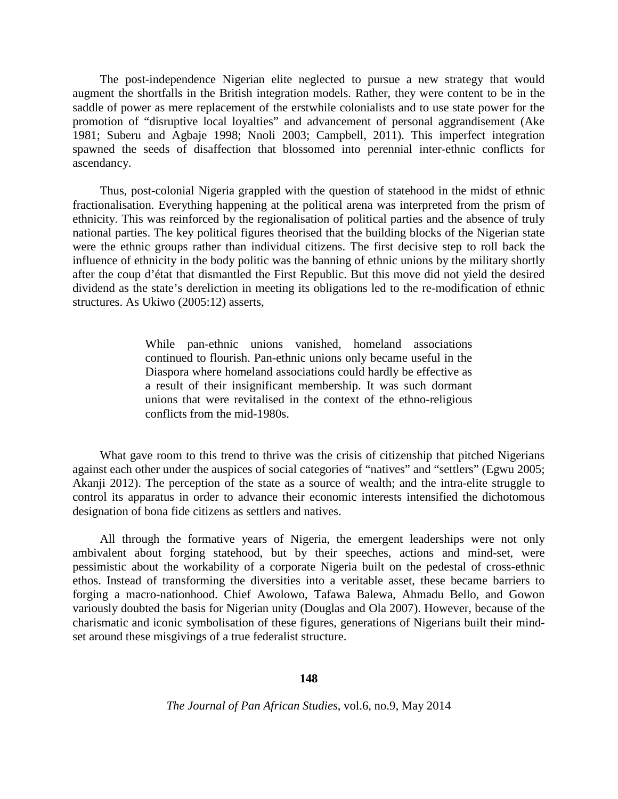The post-independence Nigerian elite neglected to pursue a new strategy that would augment the shortfalls in the British integration models. Rather, they were content to be in the saddle of power as mere replacement of the erstwhile colonialists and to use state power for the promotion of "disruptive local loyalties" and advancement of personal aggrandisement (Ake 1981; Suberu and Agbaje 1998; Nnoli 2003; Campbell, 2011). This imperfect integration spawned the seeds of disaffection that blossomed into perennial inter-ethnic conflicts for ascendancy.

Thus, post-colonial Nigeria grappled with the question of statehood in the midst of ethnic fractionalisation. Everything happening at the political arena was interpreted from the prism of ethnicity. This was reinforced by the regionalisation of political parties and the absence of truly national parties. The key political figures theorised that the building blocks of the Nigerian state were the ethnic groups rather than individual citizens. The first decisive step to roll back the influence of ethnicity in the body politic was the banning of ethnic unions by the military shortly after the coup d'état that dismantled the First Republic. But this move did not yield the desired dividend as the state's dereliction in meeting its obligations led to the re-modification of ethnic structures. As Ukiwo (2005:12) asserts,

> While pan-ethnic unions vanished, homeland associations continued to flourish. Pan-ethnic unions only became useful in the Diaspora where homeland associations could hardly be effective as a result of their insignificant membership. It was such dormant unions that were revitalised in the context of the ethno-religious conflicts from the mid-1980s.

What gave room to this trend to thrive was the crisis of citizenship that pitched Nigerians against each other under the auspices of social categories of "natives" and "settlers" (Egwu 2005; Akanji 2012). The perception of the state as a source of wealth; and the intra-elite struggle to control its apparatus in order to advance their economic interests intensified the dichotomous designation of bona fide citizens as settlers and natives.

All through the formative years of Nigeria, the emergent leaderships were not only ambivalent about forging statehood, but by their speeches, actions and mind-set, were pessimistic about the workability of a corporate Nigeria built on the pedestal of cross-ethnic ethos. Instead of transforming the diversities into a veritable asset, these became barriers to forging a macro-nationhood. Chief Awolowo, Tafawa Balewa, Ahmadu Bello, and Gowon variously doubted the basis for Nigerian unity (Douglas and Ola 2007). However, because of the charismatic and iconic symbolisation of these figures, generations of Nigerians built their mindset around these misgivings of a true federalist structure.

#### **148**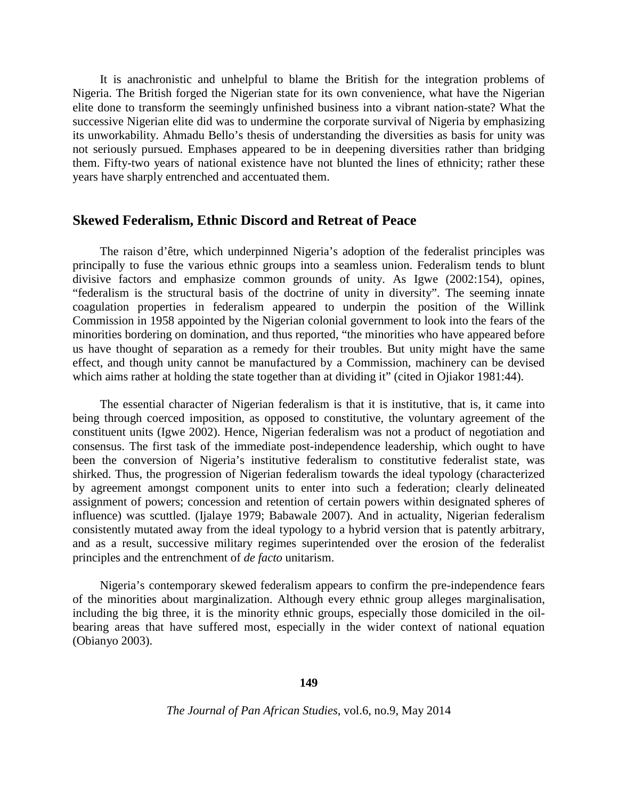It is anachronistic and unhelpful to blame the British for the integration problems of Nigeria. The British forged the Nigerian state for its own convenience, what have the Nigerian elite done to transform the seemingly unfinished business into a vibrant nation-state? What the successive Nigerian elite did was to undermine the corporate survival of Nigeria by emphasizing its unworkability. Ahmadu Bello's thesis of understanding the diversities as basis for unity was not seriously pursued. Emphases appeared to be in deepening diversities rather than bridging them. Fifty-two years of national existence have not blunted the lines of ethnicity; rather these years have sharply entrenched and accentuated them.

### **Skewed Federalism, Ethnic Discord and Retreat of Peace**

The raison d'être, which underpinned Nigeria's adoption of the federalist principles was principally to fuse the various ethnic groups into a seamless union. Federalism tends to blunt divisive factors and emphasize common grounds of unity. As Igwe (2002:154), opines, "federalism is the structural basis of the doctrine of unity in diversity". The seeming innate coagulation properties in federalism appeared to underpin the position of the Willink Commission in 1958 appointed by the Nigerian colonial government to look into the fears of the minorities bordering on domination, and thus reported, "the minorities who have appeared before us have thought of separation as a remedy for their troubles. But unity might have the same effect, and though unity cannot be manufactured by a Commission, machinery can be devised which aims rather at holding the state together than at dividing it" (cited in Ojiakor 1981:44).

The essential character of Nigerian federalism is that it is institutive, that is, it came into being through coerced imposition, as opposed to constitutive, the voluntary agreement of the constituent units (Igwe 2002). Hence, Nigerian federalism was not a product of negotiation and consensus. The first task of the immediate post-independence leadership, which ought to have been the conversion of Nigeria's institutive federalism to constitutive federalist state, was shirked. Thus, the progression of Nigerian federalism towards the ideal typology (characterized by agreement amongst component units to enter into such a federation; clearly delineated assignment of powers; concession and retention of certain powers within designated spheres of influence) was scuttled. (Ijalaye 1979; Babawale 2007). And in actuality, Nigerian federalism consistently mutated away from the ideal typology to a hybrid version that is patently arbitrary, and as a result, successive military regimes superintended over the erosion of the federalist principles and the entrenchment of *de facto* unitarism.

Nigeria's contemporary skewed federalism appears to confirm the pre-independence fears of the minorities about marginalization. Although every ethnic group alleges marginalisation, including the big three, it is the minority ethnic groups, especially those domiciled in the oilbearing areas that have suffered most, especially in the wider context of national equation (Obianyo 2003).

**149**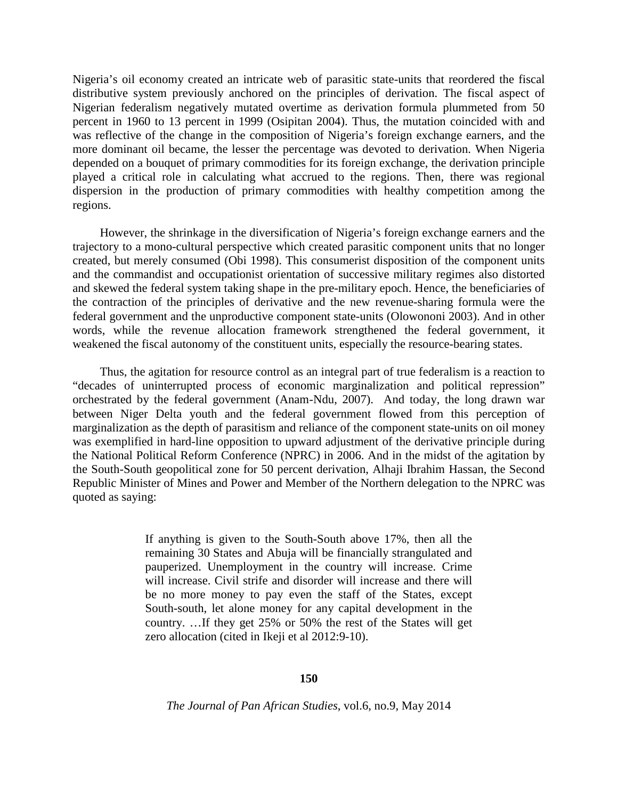Nigeria's oil economy created an intricate web of parasitic state-units that reordered the fiscal distributive system previously anchored on the principles of derivation. The fiscal aspect of Nigerian federalism negatively mutated overtime as derivation formula plummeted from 50 percent in 1960 to 13 percent in 1999 (Osipitan 2004). Thus, the mutation coincided with and was reflective of the change in the composition of Nigeria's foreign exchange earners, and the more dominant oil became, the lesser the percentage was devoted to derivation. When Nigeria depended on a bouquet of primary commodities for its foreign exchange, the derivation principle played a critical role in calculating what accrued to the regions. Then, there was regional dispersion in the production of primary commodities with healthy competition among the regions.

However, the shrinkage in the diversification of Nigeria's foreign exchange earners and the trajectory to a mono-cultural perspective which created parasitic component units that no longer created, but merely consumed (Obi 1998). This consumerist disposition of the component units and the commandist and occupationist orientation of successive military regimes also distorted and skewed the federal system taking shape in the pre-military epoch. Hence, the beneficiaries of the contraction of the principles of derivative and the new revenue-sharing formula were the federal government and the unproductive component state-units (Olowononi 2003). And in other words, while the revenue allocation framework strengthened the federal government, it weakened the fiscal autonomy of the constituent units, especially the resource-bearing states.

Thus, the agitation for resource control as an integral part of true federalism is a reaction to "decades of uninterrupted process of economic marginalization and political repression" orchestrated by the federal government (Anam-Ndu, 2007). And today, the long drawn war between Niger Delta youth and the federal government flowed from this perception of marginalization as the depth of parasitism and reliance of the component state-units on oil money was exemplified in hard-line opposition to upward adjustment of the derivative principle during the National Political Reform Conference (NPRC) in 2006. And in the midst of the agitation by the South-South geopolitical zone for 50 percent derivation, Alhaji Ibrahim Hassan, the Second Republic Minister of Mines and Power and Member of the Northern delegation to the NPRC was quoted as saying:

> If anything is given to the South-South above 17%, then all the remaining 30 States and Abuja will be financially strangulated and pauperized. Unemployment in the country will increase. Crime will increase. Civil strife and disorder will increase and there will be no more money to pay even the staff of the States, except South-south, let alone money for any capital development in the country. …If they get 25% or 50% the rest of the States will get zero allocation (cited in Ikeji et al 2012:9-10).

#### **150**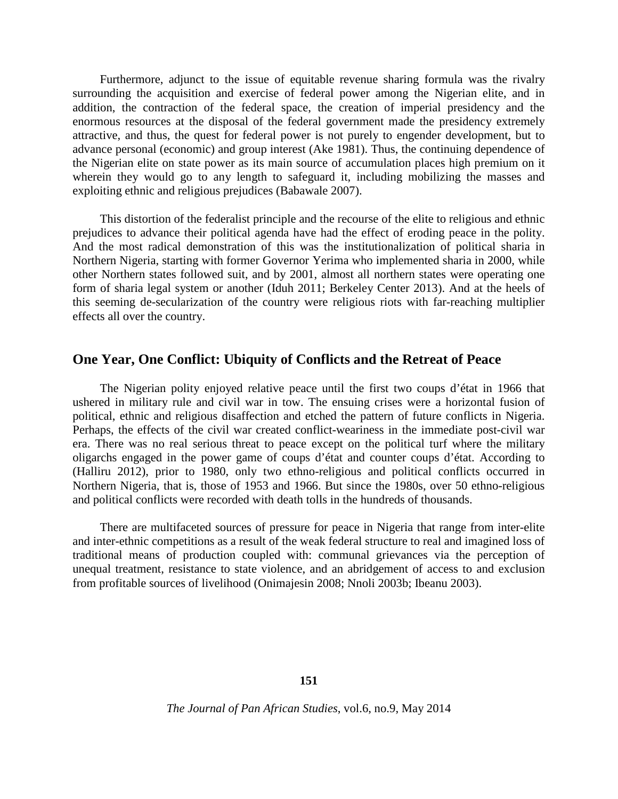Furthermore, adjunct to the issue of equitable revenue sharing formula was the rivalry surrounding the acquisition and exercise of federal power among the Nigerian elite, and in addition, the contraction of the federal space, the creation of imperial presidency and the enormous resources at the disposal of the federal government made the presidency extremely attractive, and thus, the quest for federal power is not purely to engender development, but to advance personal (economic) and group interest (Ake 1981). Thus, the continuing dependence of the Nigerian elite on state power as its main source of accumulation places high premium on it wherein they would go to any length to safeguard it, including mobilizing the masses and exploiting ethnic and religious prejudices (Babawale 2007).

This distortion of the federalist principle and the recourse of the elite to religious and ethnic prejudices to advance their political agenda have had the effect of eroding peace in the polity. And the most radical demonstration of this was the institutionalization of political sharia in Northern Nigeria, starting with former Governor Yerima who implemented sharia in 2000, while other Northern states followed suit, and by 2001, almost all northern states were operating one form of sharia legal system or another (Iduh 2011; Berkeley Center 2013). And at the heels of this seeming de-secularization of the country were religious riots with far-reaching multiplier effects all over the country.

## **One Year, One Conflict: Ubiquity of Conflicts and the Retreat of Peace**

The Nigerian polity enjoyed relative peace until the first two coups d'état in 1966 that ushered in military rule and civil war in tow. The ensuing crises were a horizontal fusion of political, ethnic and religious disaffection and etched the pattern of future conflicts in Nigeria. Perhaps, the effects of the civil war created conflict-weariness in the immediate post-civil war era. There was no real serious threat to peace except on the political turf where the military oligarchs engaged in the power game of coups d'état and counter coups d'état. According to (Halliru 2012), prior to 1980, only two ethno-religious and political conflicts occurred in Northern Nigeria, that is, those of 1953 and 1966. But since the 1980s, over 50 ethno-religious and political conflicts were recorded with death tolls in the hundreds of thousands.

There are multifaceted sources of pressure for peace in Nigeria that range from inter-elite and inter-ethnic competitions as a result of the weak federal structure to real and imagined loss of traditional means of production coupled with: communal grievances via the perception of unequal treatment, resistance to state violence, and an abridgement of access to and exclusion from profitable sources of livelihood (Onimajesin 2008; Nnoli 2003b; Ibeanu 2003).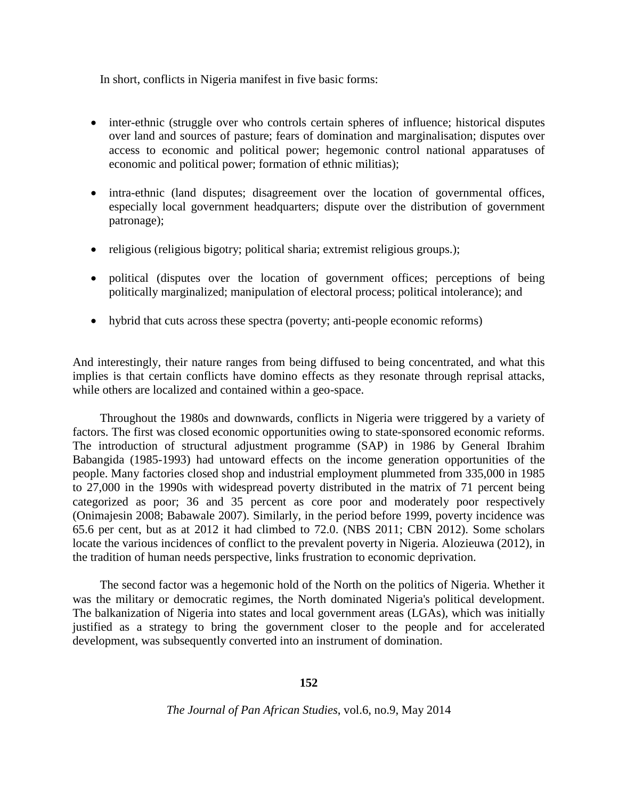In short, conflicts in Nigeria manifest in five basic forms:

- inter-ethnic (struggle over who controls certain spheres of influence; historical disputes over land and sources of pasture; fears of domination and marginalisation; disputes over access to economic and political power; hegemonic control national apparatuses of economic and political power; formation of ethnic militias);
- intra-ethnic (land disputes; disagreement over the location of governmental offices, especially local government headquarters; dispute over the distribution of government patronage);
- religious (religious bigotry; political sharia; extremist religious groups.);
- political (disputes over the location of government offices; perceptions of being politically marginalized; manipulation of electoral process; political intolerance); and
- hybrid that cuts across these spectra (poverty; anti-people economic reforms)

And interestingly, their nature ranges from being diffused to being concentrated, and what this implies is that certain conflicts have domino effects as they resonate through reprisal attacks, while others are localized and contained within a geo-space.

Throughout the 1980s and downwards, conflicts in Nigeria were triggered by a variety of factors. The first was closed economic opportunities owing to state-sponsored economic reforms. The introduction of structural adjustment programme (SAP) in 1986 by General Ibrahim Babangida (1985-1993) had untoward effects on the income generation opportunities of the people. Many factories closed shop and industrial employment plummeted from 335,000 in 1985 to 27,000 in the 1990s with widespread poverty distributed in the matrix of 71 percent being categorized as poor; 36 and 35 percent as core poor and moderately poor respectively (Onimajesin 2008; Babawale 2007). Similarly, in the period before 1999, poverty incidence was 65.6 per cent, but as at 2012 it had climbed to 72.0. (NBS 2011; CBN 2012). Some scholars locate the various incidences of conflict to the prevalent poverty in Nigeria. Alozieuwa (2012), in the tradition of human needs perspective, links frustration to economic deprivation.

The second factor was a hegemonic hold of the North on the politics of Nigeria. Whether it was the military or democratic regimes, the North dominated Nigeria's political development. The balkanization of Nigeria into states and local government areas (LGAs), which was initially justified as a strategy to bring the government closer to the people and for accelerated development, was subsequently converted into an instrument of domination.

## **152**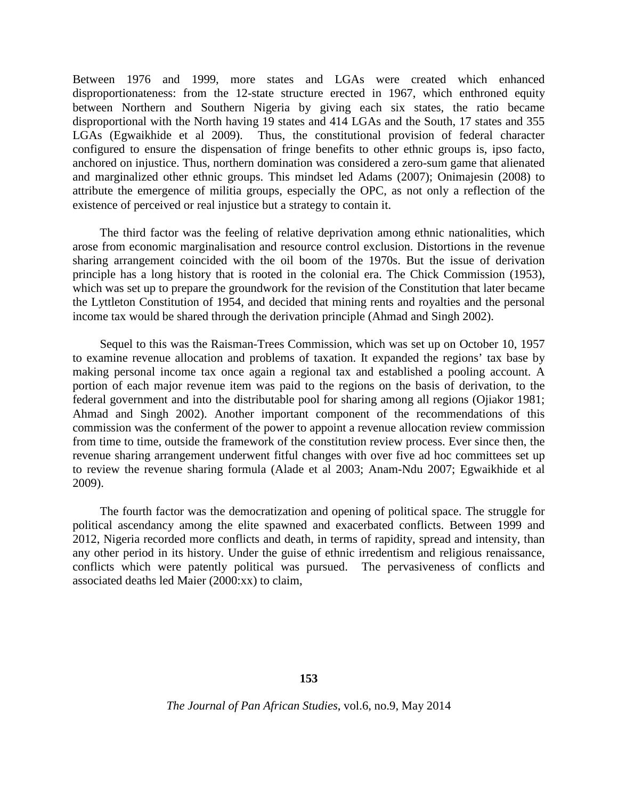Between 1976 and 1999, more states and LGAs were created which enhanced disproportionateness: from the 12-state structure erected in 1967, which enthroned equity between Northern and Southern Nigeria by giving each six states, the ratio became disproportional with the North having 19 states and 414 LGAs and the South, 17 states and 355 LGAs (Egwaikhide et al 2009). Thus, the constitutional provision of federal character configured to ensure the dispensation of fringe benefits to other ethnic groups is, ipso facto, anchored on injustice. Thus, northern domination was considered a zero-sum game that alienated and marginalized other ethnic groups. This mindset led Adams (2007); Onimajesin (2008) to attribute the emergence of militia groups, especially the OPC, as not only a reflection of the existence of perceived or real injustice but a strategy to contain it.

The third factor was the feeling of relative deprivation among ethnic nationalities, which arose from economic marginalisation and resource control exclusion. Distortions in the revenue sharing arrangement coincided with the oil boom of the 1970s. But the issue of derivation principle has a long history that is rooted in the colonial era. The Chick Commission (1953), which was set up to prepare the groundwork for the revision of the Constitution that later became the Lyttleton Constitution of 1954, and decided that mining rents and royalties and the personal income tax would be shared through the derivation principle (Ahmad and Singh 2002).

Sequel to this was the Raisman-Trees Commission, which was set up on October 10, 1957 to examine revenue allocation and problems of taxation. It expanded the regions' tax base by making personal income tax once again a regional tax and established a pooling account. A portion of each major revenue item was paid to the regions on the basis of derivation, to the federal government and into the distributable pool for sharing among all regions (Ojiakor 1981; Ahmad and Singh 2002). Another important component of the recommendations of this commission was the conferment of the power to appoint a revenue allocation review commission from time to time, outside the framework of the constitution review process. Ever since then, the revenue sharing arrangement underwent fitful changes with over five ad hoc committees set up to review the revenue sharing formula (Alade et al 2003; Anam-Ndu 2007; Egwaikhide et al 2009).

The fourth factor was the democratization and opening of political space. The struggle for political ascendancy among the elite spawned and exacerbated conflicts. Between 1999 and 2012, Nigeria recorded more conflicts and death, in terms of rapidity, spread and intensity, than any other period in its history. Under the guise of ethnic irredentism and religious renaissance, conflicts which were patently political was pursued. The pervasiveness of conflicts and associated deaths led Maier (2000:xx) to claim,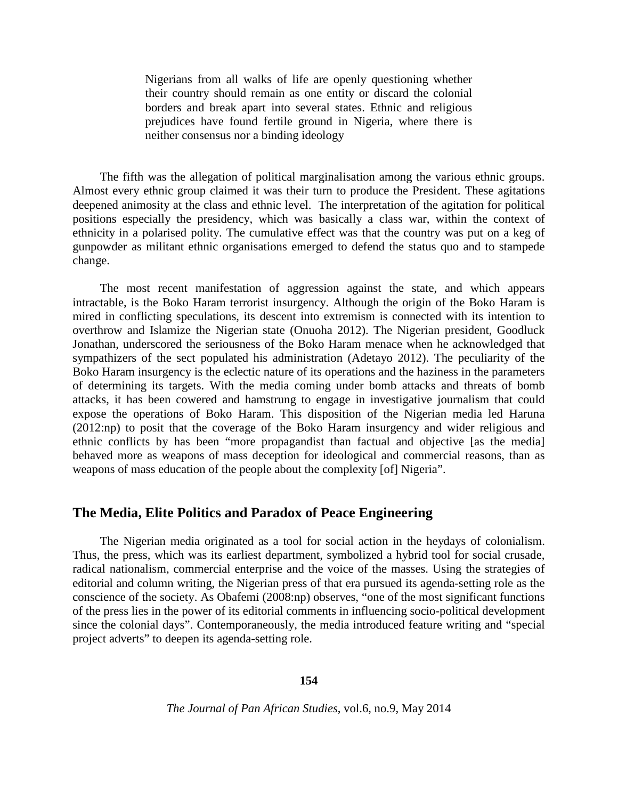Nigerians from all walks of life are openly questioning whether their country should remain as one entity or discard the colonial borders and break apart into several states. Ethnic and religious prejudices have found fertile ground in Nigeria, where there is neither consensus nor a binding ideology

The fifth was the allegation of political marginalisation among the various ethnic groups. Almost every ethnic group claimed it was their turn to produce the President. These agitations deepened animosity at the class and ethnic level. The interpretation of the agitation for political positions especially the presidency, which was basically a class war, within the context of ethnicity in a polarised polity. The cumulative effect was that the country was put on a keg of gunpowder as militant ethnic organisations emerged to defend the status quo and to stampede change.

The most recent manifestation of aggression against the state, and which appears intractable, is the Boko Haram terrorist insurgency. Although the origin of the Boko Haram is mired in conflicting speculations, its descent into extremism is connected with its intention to overthrow and Islamize the Nigerian state (Onuoha 2012). The Nigerian president, Goodluck Jonathan, underscored the seriousness of the Boko Haram menace when he acknowledged that sympathizers of the sect populated his administration (Adetayo 2012). The peculiarity of the Boko Haram insurgency is the eclectic nature of its operations and the haziness in the parameters of determining its targets. With the media coming under bomb attacks and threats of bomb attacks, it has been cowered and hamstrung to engage in investigative journalism that could expose the operations of Boko Haram. This disposition of the Nigerian media led Haruna (2012:np) to posit that the coverage of the Boko Haram insurgency and wider religious and ethnic conflicts by has been "more propagandist than factual and objective [as the media] behaved more as weapons of mass deception for ideological and commercial reasons, than as weapons of mass education of the people about the complexity [of] Nigeria".

## **The Media, Elite Politics and Paradox of Peace Engineering**

The Nigerian media originated as a tool for social action in the heydays of colonialism. Thus, the press, which was its earliest department, symbolized a hybrid tool for social crusade, radical nationalism, commercial enterprise and the voice of the masses. Using the strategies of editorial and column writing, the Nigerian press of that era pursued its agenda-setting role as the conscience of the society. As Obafemi (2008:np) observes, "one of the most significant functions of the press lies in the power of its editorial comments in influencing socio-political development since the colonial days". Contemporaneously, the media introduced feature writing and "special project adverts" to deepen its agenda-setting role.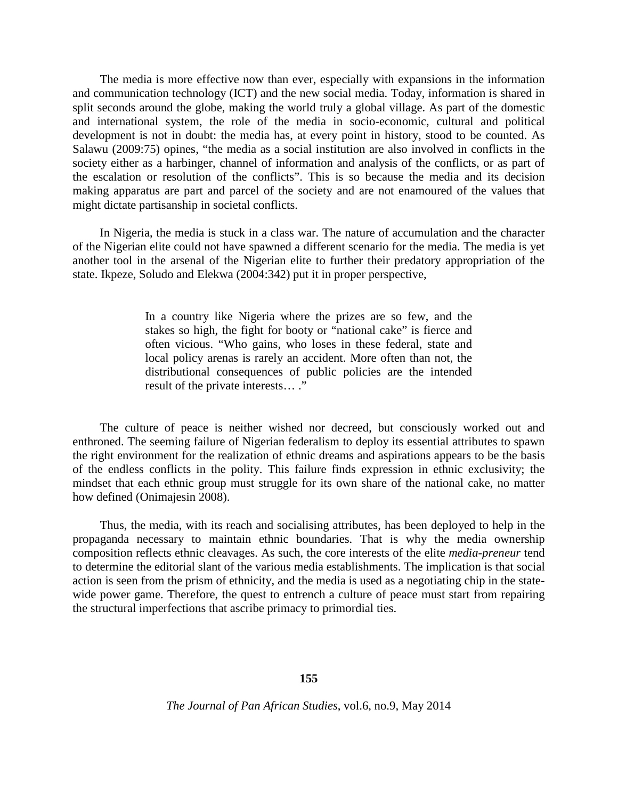The media is more effective now than ever, especially with expansions in the information and communication technology (ICT) and the new social media. Today, information is shared in split seconds around the globe, making the world truly a global village. As part of the domestic and international system, the role of the media in socio-economic, cultural and political development is not in doubt: the media has, at every point in history, stood to be counted. As Salawu (2009:75) opines, "the media as a social institution are also involved in conflicts in the society either as a harbinger, channel of information and analysis of the conflicts, or as part of the escalation or resolution of the conflicts". This is so because the media and its decision making apparatus are part and parcel of the society and are not enamoured of the values that might dictate partisanship in societal conflicts.

In Nigeria, the media is stuck in a class war. The nature of accumulation and the character of the Nigerian elite could not have spawned a different scenario for the media. The media is yet another tool in the arsenal of the Nigerian elite to further their predatory appropriation of the state. Ikpeze, Soludo and Elekwa (2004:342) put it in proper perspective,

> In a country like Nigeria where the prizes are so few, and the stakes so high, the fight for booty or "national cake" is fierce and often vicious. "Who gains, who loses in these federal, state and local policy arenas is rarely an accident. More often than not, the distributional consequences of public policies are the intended result of the private interests… ."

The culture of peace is neither wished nor decreed, but consciously worked out and enthroned. The seeming failure of Nigerian federalism to deploy its essential attributes to spawn the right environment for the realization of ethnic dreams and aspirations appears to be the basis of the endless conflicts in the polity. This failure finds expression in ethnic exclusivity; the mindset that each ethnic group must struggle for its own share of the national cake, no matter how defined (Onimajesin 2008).

Thus, the media, with its reach and socialising attributes, has been deployed to help in the propaganda necessary to maintain ethnic boundaries. That is why the media ownership composition reflects ethnic cleavages. As such, the core interests of the elite *media-preneur* tend to determine the editorial slant of the various media establishments. The implication is that social action is seen from the prism of ethnicity, and the media is used as a negotiating chip in the statewide power game. Therefore, the quest to entrench a culture of peace must start from repairing the structural imperfections that ascribe primacy to primordial ties.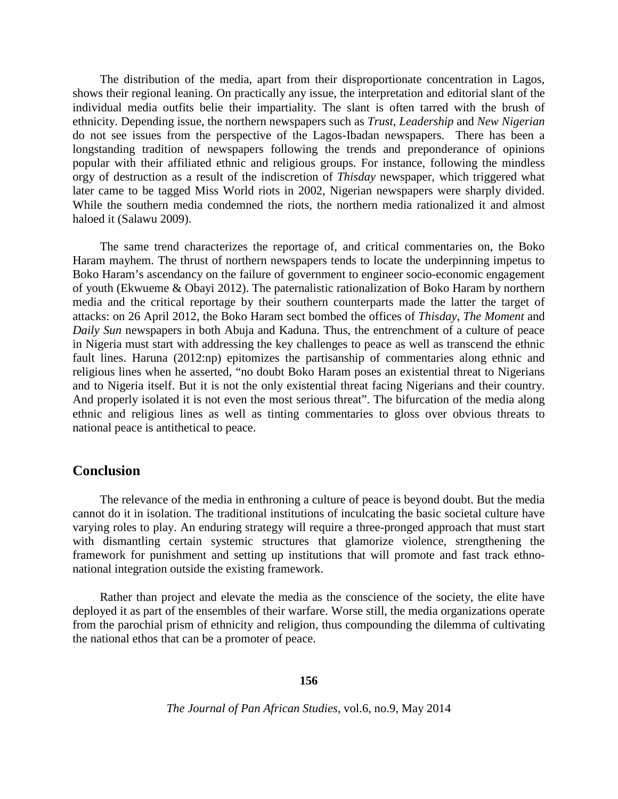The distribution of the media, apart from their disproportionate concentration in Lagos, shows their regional leaning. On practically any issue, the interpretation and editorial slant of the individual media outfits belie their impartiality. The slant is often tarred with the brush of ethnicity. Depending issue, the northern newspapers such as *Trust*, *Leadership* and *New Nigerian*  do not see issues from the perspective of the Lagos-Ibadan newspapers. There has been a longstanding tradition of newspapers following the trends and preponderance of opinions popular with their affiliated ethnic and religious groups. For instance, following the mindless orgy of destruction as a result of the indiscretion of *Thisday* newspaper, which triggered what later came to be tagged Miss World riots in 2002, Nigerian newspapers were sharply divided. While the southern media condemned the riots, the northern media rationalized it and almost haloed it (Salawu 2009).

The same trend characterizes the reportage of, and critical commentaries on, the Boko Haram mayhem. The thrust of northern newspapers tends to locate the underpinning impetus to Boko Haram's ascendancy on the failure of government to engineer socio-economic engagement of youth (Ekwueme & Obayi 2012). The paternalistic rationalization of Boko Haram by northern media and the critical reportage by their southern counterparts made the latter the target of attacks: on 26 April 2012, the Boko Haram sect bombed the offices of *Thisday*, *The Moment* and *Daily Sun* newspapers in both Abuja and Kaduna. Thus, the entrenchment of a culture of peace in Nigeria must start with addressing the key challenges to peace as well as transcend the ethnic fault lines. Haruna (2012:np) epitomizes the partisanship of commentaries along ethnic and religious lines when he asserted, "no doubt Boko Haram poses an existential threat to Nigerians and to Nigeria itself. But it is not the only existential threat facing Nigerians and their country. And properly isolated it is not even the most serious threat". The bifurcation of the media along ethnic and religious lines as well as tinting commentaries to gloss over obvious threats to national peace is antithetical to peace.

## **Conclusion**

The relevance of the media in enthroning a culture of peace is beyond doubt. But the media cannot do it in isolation. The traditional institutions of inculcating the basic societal culture have varying roles to play. An enduring strategy will require a three-pronged approach that must start with dismantling certain systemic structures that glamorize violence, strengthening the framework for punishment and setting up institutions that will promote and fast track ethnonational integration outside the existing framework.

Rather than project and elevate the media as the conscience of the society, the elite have deployed it as part of the ensembles of their warfare. Worse still, the media organizations operate from the parochial prism of ethnicity and religion, thus compounding the dilemma of cultivating the national ethos that can be a promoter of peace.

#### **156**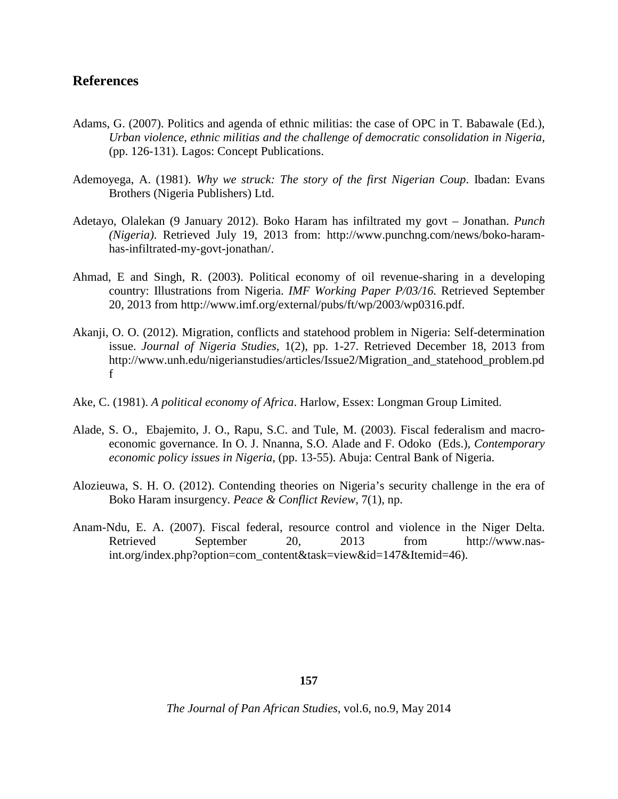# **References**

- Adams, G. (2007). Politics and agenda of ethnic militias: the case of OPC in T. Babawale (Ed.), *Urban violence, ethnic militias and the challenge of democratic consolidation in Nigeria*, (pp. 126-131). Lagos: Concept Publications.
- Ademoyega, A. (1981). *Why we struck: The story of the first Nigerian Coup*. Ibadan: Evans Brothers (Nigeria Publishers) Ltd.
- Adetayo, Olalekan (9 January 2012). Boko Haram has infiltrated my govt Jonathan. *Punch (Nigeria)*. Retrieved July 19, 2013 from: [http://www.punchng.com/news/boko-haram](http://www.punchng.com/news/boko-haram-has-infiltrated-my-govt-jonathan/)[has-infiltrated-my-govt-jonathan/.](http://www.punchng.com/news/boko-haram-has-infiltrated-my-govt-jonathan/)
- Ahmad, E and Singh, R. (2003). Political economy of oil revenue-sharing in a developing country: Illustrations from Nigeria. *IMF Working Paper P/03/16.* Retrieved September 20, 2013 from [http://www.imf.org/external/pubs/ft/wp/2003/wp0316.pdf.](http://www.imf.org/external/pubs/ft/wp/2003/wp0316.pdf)
- Akanji, O. O. (2012). Migration, conflicts and statehood problem in Nigeria: Self-determination issue. *Journal of Nigeria Studies*, 1(2), pp. 1-27. Retrieved December 18, 2013 from [http://www.unh.edu/nigerianstudies/articles/Issue2/Migration\\_and\\_statehood\\_problem.pd](http://www.unh.edu/nigerianstudies/articles/Issue2/Migration_and_statehood_problem.pdf) [f](http://www.unh.edu/nigerianstudies/articles/Issue2/Migration_and_statehood_problem.pdf)
- Ake, C. (1981). *A political economy of Africa*. Harlow, Essex: Longman Group Limited.
- Alade, S. O., Ebajemito, J. O., Rapu, S.C. and Tule, M. (2003). Fiscal federalism and macroeconomic governance. In O. J. Nnanna, S.O. Alade and F. Odoko (Eds.), *Contemporary economic policy issues in Nigeria*, (pp. 13-55). Abuja: Central Bank of Nigeria.
- Alozieuwa, S. H. O. (2012). Contending theories on Nigeria's security challenge in the era of Boko Haram insurgency. *Peace & Conflict Review,* 7(1), np.
- Anam-Ndu, E. A. (2007). Fiscal federal, resource control and violence in the Niger Delta. Retrieved September 20, 2013 from [http://www.nas](http://www.nas-int.org/index.php?option=com_content&task=view&id=147&Itemid=46)[int.org/index.php?option=com\\_content&task=view&id=147&Itemid=46\)](http://www.nas-int.org/index.php?option=com_content&task=view&id=147&Itemid=46).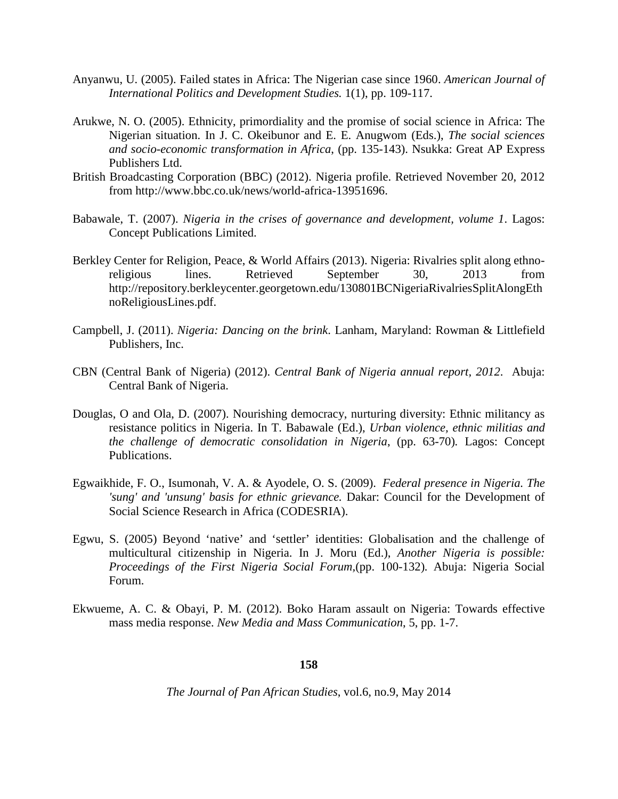- Anyanwu, U. (2005). Failed states in Africa: The Nigerian case since 1960. *American Journal of International Politics and Development Studies.* 1(1), pp. 109-117.
- Arukwe, N. O. (2005). Ethnicity, primordiality and the promise of social science in Africa: The Nigerian situation. In J. C. Okeibunor and E. E. Anugwom (Eds.), *The social sciences and socio-economic transformation in Africa*, (pp. 135-143). Nsukka: Great AP Express Publishers Ltd.
- British Broadcasting Corporation (BBC) (2012). Nigeria profile. Retrieved November 20, 2012 from [http://www.bbc.co.uk/news/world-africa-13951696.](http://www.bbc.co.uk/news/world-africa-13951696)
- Babawale, T. (2007). *Nigeria in the crises of governance and development, volume 1*. Lagos: Concept Publications Limited.
- Berkley Center for Religion, Peace, & World Affairs (2013). Nigeria: Rivalries split along ethnoreligious lines. Retrieved September 30, 2013 from [http://repository.berkleycenter.georgetown.edu/130801BCNigeriaRivalriesSplitAlongEth](http://repository.berkleycenter.georgetown.edu/130801BCNigeriaRivalriesSplitAlongEthnoReligiousLines.pdf) [noReligiousLines.pdf.](http://repository.berkleycenter.georgetown.edu/130801BCNigeriaRivalriesSplitAlongEthnoReligiousLines.pdf)
- Campbell, J. (2011). *Nigeria: Dancing on the brink*. Lanham, Maryland: Rowman & Littlefield Publishers, Inc.
- CBN (Central Bank of Nigeria) (2012). *Central Bank of Nigeria annual report, 2012*. Abuja: Central Bank of Nigeria.
- Douglas, O and Ola, D. (2007). Nourishing democracy, nurturing diversity: Ethnic militancy as resistance politics in Nigeria. In T. Babawale (Ed.), *Urban violence, ethnic militias and the challenge of democratic consolidation in Nigeria*, (pp. 63-70)*.* Lagos: Concept Publications.
- Egwaikhide, F. O., Isumonah, V. A. & Ayodele, O. S. (2009). *Federal presence in Nigeria. The 'sung' and 'unsung' basis for ethnic grievance.* Dakar: Council for the Development of Social Science Research in Africa (CODESRIA).
- Egwu, S. (2005) Beyond 'native' and 'settler' identities: Globalisation and the challenge of multicultural citizenship in Nigeria. In J. Moru (Ed.), *Another Nigeria is possible: Proceedings of the First Nigeria Social Forum,*(pp. 100-132)*.* Abuja: Nigeria Social Forum.
- Ekwueme, A. C. & Obayi, P. M. (2012). Boko Haram assault on Nigeria: Towards effective mass media response. *New Media and Mass Communication*, 5, pp. 1-7.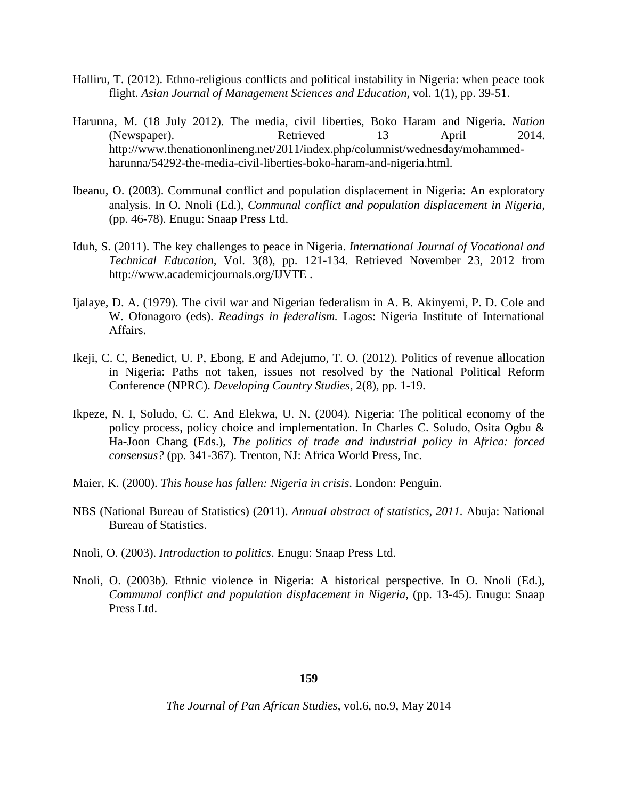- Halliru, T. (2012). Ethno-religious conflicts and political instability in Nigeria: when peace took flight. *Asian Journal of Management Sciences and Education,* vol. 1(1), pp. 39-51.
- Harunna, M. (18 July 2012). The media, civil liberties, Boko Haram and Nigeria. *Nation* (Newspaper). Retrieved 13 April 2014. [http://www.thenationonlineng.net/2011/index.php/columnist/wednesday/mohammed](http://www.thenationonlineng.net/2011/index.php/columnist/wednesday/mohammed-harunna/54292-the-media-civil-liberties-boko-haram-and-nigeria.html)[harunna/54292-the-media-civil-liberties-boko-haram-and-nigeria.html.](http://www.thenationonlineng.net/2011/index.php/columnist/wednesday/mohammed-harunna/54292-the-media-civil-liberties-boko-haram-and-nigeria.html)
- Ibeanu, O. (2003). Communal conflict and population displacement in Nigeria: An exploratory analysis. In O. Nnoli (Ed.), *Communal conflict and population displacement in Nigeria,*  (pp. 46-78)*.* Enugu: Snaap Press Ltd.
- Iduh, S. (2011). The key challenges to peace in Nigeria. *International Journal of Vocational and Technical Education,* Vol. 3(8), pp. 121-134. Retrieved November 23, 2012 from <http://www.academicjournals.org/IJVTE> .
- Ijalaye, D. A. (1979). The civil war and Nigerian federalism in A. B. Akinyemi, P. D. Cole and W. Ofonagoro (eds). *Readings in federalism.* Lagos: Nigeria Institute of International Affairs.
- Ikeji, C. C, Benedict, U. P, Ebong, E and Adejumo, T. O. (2012). Politics of revenue allocation in Nigeria: Paths not taken, issues not resolved by the National Political Reform Conference (NPRC). *Developing Country Studies*, 2(8), pp. 1-19.
- Ikpeze, N. I, Soludo, C. C. And Elekwa, U. N. (2004). Nigeria: The political economy of the policy process, policy choice and implementation. In Charles C. Soludo, Osita Ogbu & Ha-Joon Chang (Eds.), *The politics of trade and industrial policy in Africa: forced consensus?* (pp. 341-367). Trenton, NJ: Africa World Press, Inc.
- Maier, K. (2000). *This house has fallen: Nigeria in crisis*. London: Penguin.
- NBS (National Bureau of Statistics) (2011). *Annual abstract of statistics, 2011.* Abuja: National Bureau of Statistics.
- Nnoli, O. (2003). *Introduction to politics*. Enugu: Snaap Press Ltd.
- Nnoli, O. (2003b). Ethnic violence in Nigeria: A historical perspective. In O. Nnoli (Ed.), *Communal conflict and population displacement in Nigeria*, (pp. 13-45). Enugu: Snaap Press Ltd.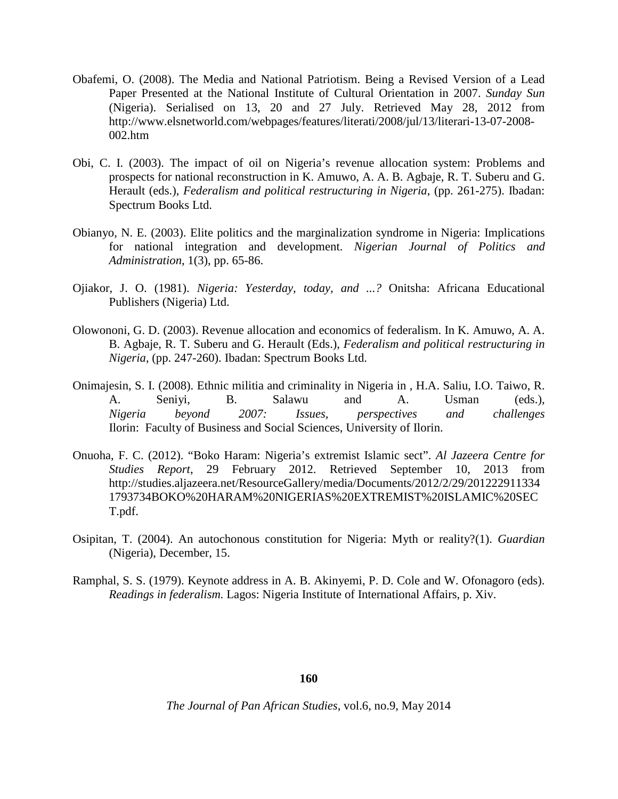- Obafemi, O. (2008). The Media and National Patriotism. Being a Revised Version of a Lead Paper Presented at the National Institute of Cultural Orientation in 2007. *Sunday Sun* (Nigeria). Serialised on 13, 20 and 27 July. Retrieved May 28, 2012 from [http://www.elsnetworld.com/webpages/features/literati/2008/jul/13/literari-13-07-2008-](http://www.elsnetworld.com/webpages/features/literati/2008/jul/13/literari-13-07-2008-002.htm) [002.htm](http://www.elsnetworld.com/webpages/features/literati/2008/jul/13/literari-13-07-2008-002.htm)
- Obi, C. I. (2003). The impact of oil on Nigeria's revenue allocation system: Problems and prospects for national reconstruction in K. Amuwo, A. A. B. Agbaje, R. T. Suberu and G. Herault (eds.), *Federalism and political restructuring in Nigeria*, (pp. 261-275). Ibadan: Spectrum Books Ltd.
- Obianyo, N. E. (2003). Elite politics and the marginalization syndrome in Nigeria: Implications for national integration and development. *Nigerian Journal of Politics and Administration*, 1(3), pp. 65-86.
- Ojiakor, J. O. (1981). *Nigeria: Yesterday, today, and ...?* Onitsha: Africana Educational Publishers (Nigeria) Ltd.
- Olowononi, G. D. (2003). Revenue allocation and economics of federalism. In K. Amuwo, A. A. B. Agbaje, R. T. Suberu and G. Herault (Eds.), *Federalism and political restructuring in Nigeria*, (pp. 247-260). Ibadan: Spectrum Books Ltd.
- Onimajesin, S. I. (2008). Ethnic militia and criminality in Nigeria in , H.A. Saliu, I.O. Taiwo, R. A. Seniyi, B. Salawu and A. Usman (eds.), *Nigeria beyond 2007: Issues, perspectives and challenges* Ilorin: Faculty of Business and Social Sciences, University of Ilorin.
- Onuoha, F. C. (2012). "Boko Haram: Nigeria's extremist Islamic sect". *Al Jazeera Centre for Studies Report*, 29 February 2012. Retrieved September 10, 2013 from [http://studies.aljazeera.net/ResourceGallery/media/Documents/2012/2/29/201222911334](http://studies.aljazeera.net/ResourceGallery/media/Documents/2012/2/29/2012229113341793734BOKO%20HARAM%20NIGERIAS%20EXTREMIST%20ISLAMIC%20SECT.pdf) [1793734BOKO%20HARAM%20NIGERIAS%20EXTREMIST%20ISLAMIC%20SEC](http://studies.aljazeera.net/ResourceGallery/media/Documents/2012/2/29/2012229113341793734BOKO%20HARAM%20NIGERIAS%20EXTREMIST%20ISLAMIC%20SECT.pdf) [T.pdf.](http://studies.aljazeera.net/ResourceGallery/media/Documents/2012/2/29/2012229113341793734BOKO%20HARAM%20NIGERIAS%20EXTREMIST%20ISLAMIC%20SECT.pdf)
- Osipitan, T. (2004). An autochonous constitution for Nigeria: Myth or reality?(1). *Guardian*  (Nigeria), December, 15.
- Ramphal, S. S. (1979). Keynote address in A. B. Akinyemi, P. D. Cole and W. Ofonagoro (eds). *Readings in federalism.* Lagos: Nigeria Institute of International Affairs, p. Xiv.